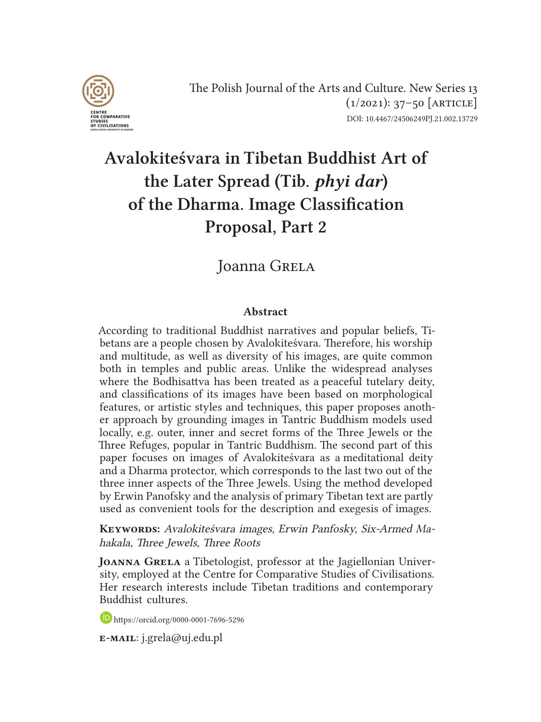

# Avalokiteśvara in Tibetan Buddhist Art of the Later Spread (Tib. *phyi dar*) of the Dharma. Image Classification Proposal, Part 2

### Joanna Grela

#### Abstract

According to traditional Buddhist narratives and popular beliefs, Tibetans are a people chosen by Avalokiteśvara. Therefore, his worship and multitude, as well as diversity of his images, are quite common both in temples and public areas. Unlike the widespread analyses where the Bodhisattva has been treated as a peaceful tutelary deity, and classifications of its images have been based on morphological features, or artistic styles and techniques, this paper proposes another approach by grounding images in Tantric Buddhism models used locally, e.g. outer, inner and secret forms of the Three Jewels or the Three Refuges, popular in Tantric Buddhism. The second part of this paper focuses on images of Avalokiteśvara as a meditational deity and a Dharma protector, which corresponds to the last two out of the three inner aspects of the Three Jewels. Using the method developed by Erwin Panofsky and the analysis of primary Tibetan text are partly used as convenient tools for the description and exegesis of images.

KEYWORDS: Avalokiteśvara images, Erwin Panfosky, Six-Armed Mahakala, Three Jewels, Three Roots

JOANNA GRELA a Tibetologist, professor at the Jagiellonian University, employed at the Centre for Comparative Studies of Civilisations. Her research interests include Tibetan traditions and contemporary Buddhist cultures.

https://orcid.org/0000-0001-7696-5296

e-mail: j.grela@uj.edu.pl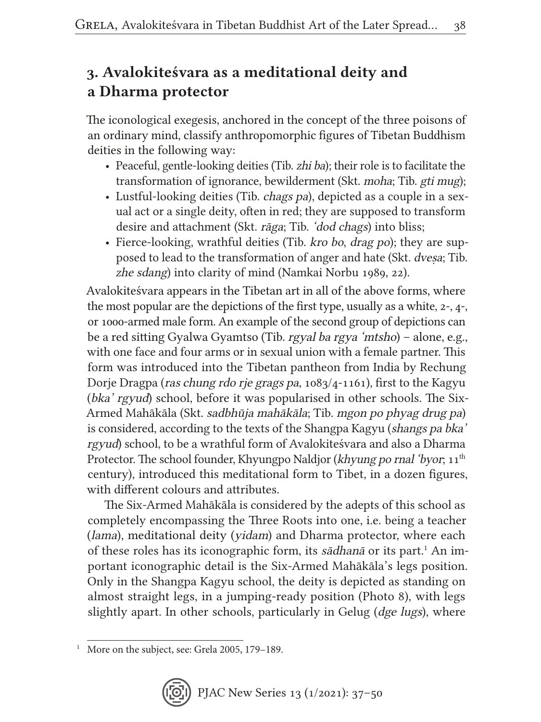## 3. Avalokiteśvara as a meditational deity and a Dharma protector

The iconological exegesis, anchored in the concept of the three poisons of an ordinary mind, classify anthropomorphic figures of Tibetan Buddhism deities in the following way:

- Peaceful, gentle-looking deities (Tib. zhi ba); their role is to facilitate the transformation of ignorance, bewilderment (Skt. moha; Tib. gti mug);
- Lustful-looking deities (Tib. *chags pa*), depicted as a couple in a sexual act or a single deity, often in red; they are supposed to transform desire and attachment (Skt. rāga; Tib. 'dod chags) into bliss;
- Fierce-looking, wrathful deities (Tib. kro bo, drag po); they are supposed to lead to the transformation of anger and hate (Skt. dveṣa; Tib. zhe sdang) into clarity of mind (Namkai Norbu 1989, 22).

Avalokiteśvara appears in the Tibetan art in all of the above forms, where the most popular are the depictions of the first type, usually as a white, 2-, 4-, or 1000-armed male form. An example of the second group of depictions can be a red sitting Gyalwa Gyamtso (Tib. rgyal ba rgya 'mtsho) – alone, e.g., with one face and four arms or in sexual union with a female partner. This form was introduced into the Tibetan pantheon from India by Rechung Dorje Dragpa (ras chung rdo rje grags pa, 1083/4-1161), first to the Kagyu (bka' rgyud) school, before it was popularised in other schools. The Six-Armed Mahākāla (Skt. sadbhūja mahākāla; Tib. mgon po phyag drug pa) is considered, according to the texts of the Shangpa Kagyu (shangs pa bka' rgyud) school, to be a wrathful form of Avalokiteśvara and also a Dharma Protector. The school founder, Khyungpo Naldjor (khyung po rnal 'byor; 11<sup>th</sup> century), introduced this meditational form to Tibet, in a dozen figures, with different colours and attributes.

The Six-Armed Mahākāla is considered by the adepts of this school as completely encompassing the Three Roots into one, i.e. being a teacher (lama), meditational deity (yidam) and Dharma protector, where each of these roles has its iconographic form, its sādhanā or its part.<sup>1</sup> An important iconographic detail is the Six-Armed Mahākāla's legs position. Only in the Shangpa Kagyu school, the deity is depicted as standing on almost straight legs, in a jumping-ready position (Photo 8), with legs slightly apart. In other schools, particularly in Gelug (*dge lugs*), where

<sup>&</sup>lt;sup>1</sup> More on the subject, see: Grela 2005, 179-189.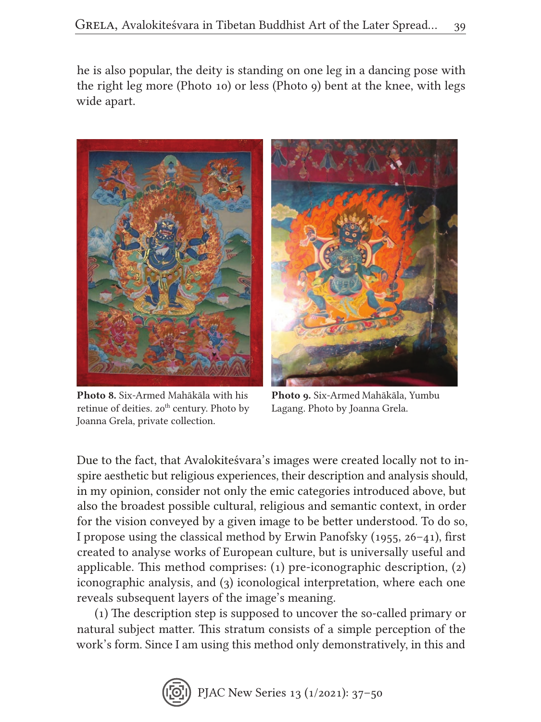he is also popular, the deity is standing on one leg in a dancing pose with the right leg more (Photo 10) or less (Photo 9) bent at the knee, with legs wide apart.



Photo 8. Six-Armed Mahākāla with his retinue of deities. 20<sup>th</sup> century. Photo by Joanna Grela, private collection.

Photo 9. Six-Armed Mahākāla, Yumbu Lagang. Photo by Joanna Grela.

Due to the fact, that Avalokiteśvara's images were created locally not to inspire aesthetic but religious experiences, their description and analysis should, in my opinion, consider not only the emic categories introduced above, but also the broadest possible cultural, religious and semantic context, in order for the vision conveyed by a given image to be better understood. To do so, I propose using the classical method by Erwin Panofsky (1955, 26–41), first created to analyse works of European culture, but is universally useful and applicable. This method comprises: (1) pre-iconographic description, (2) iconographic analysis, and (3) iconological interpretation, where each one reveals subsequent layers of the image's meaning.

(1) The description step is supposed to uncover the so-called primary or natural subject matter. This stratum consists of a simple perception of the work's form. Since I am using this method only demonstratively, in this and

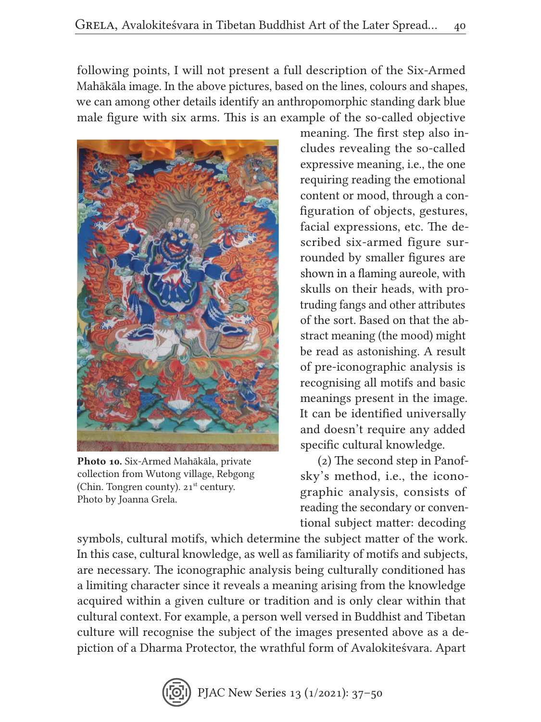following points, I will not present a full description of the Six-Armed Mahākāla image. In the above pictures, based on the lines, colours and shapes, we can among other details identify an anthropomorphic standing dark blue male figure with six arms. This is an example of the so-called objective



Photo 10. Six-Armed Mahākāla, private collection from Wutong village, Rebgong (Chin. Tongren county). 21<sup>st</sup> century. Photo by Joanna Grela.

meaning. The first step also includes revealing the so-called expressive meaning, i.e., the one requiring reading the emotional content or mood, through a configuration of objects, gestures, facial expressions, etc. The described six-armed figure surrounded by smaller figures are shown in a flaming aureole, with skulls on their heads, with protruding fangs and other attributes of the sort. Based on that the abstract meaning (the mood) might be read as astonishing. A result of pre-iconographic analysis is recognising all motifs and basic meanings present in the image. It can be identified universally and doesn't require any added specific cultural knowledge.

(2) The second step in Panofsky's method, i.e., the iconographic analysis, consists of reading the secondary or conventional subject matter: decoding

symbols, cultural motifs, which determine the subject matter of the work. In this case, cultural knowledge, as well as familiarity of motifs and subjects, are necessary. The iconographic analysis being culturally conditioned has a limiting character since it reveals a meaning arising from the knowledge acquired within a given culture or tradition and is only clear within that cultural context. For example, a person well versed in Buddhist and Tibetan culture will recognise the subject of the images presented above as a depiction of a Dharma Protector, the wrathful form of Avalokiteśvara. Apart

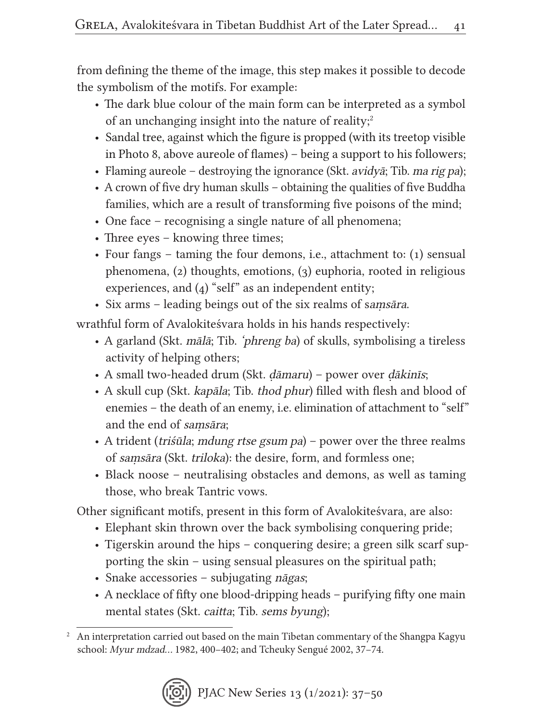from defining the theme of the image, this step makes it possible to decode the symbolism of the motifs. For example:

- The dark blue colour of the main form can be interpreted as a symbol of an unchanging insight into the nature of reality;<sup>2</sup>
- Sandal tree, against which the figure is propped (with its treetop visible in Photo 8, above aureole of flames) – being a support to his followers;
- Flaming aureole destroying the ignorance (Skt. *avidyā*; Tib. *ma rig pa*);
- A crown of five dry human skulls obtaining the qualities of five Buddha families, which are a result of transforming five poisons of the mind;
- One face recognising a single nature of all phenomena;
- Three eyes knowing three times;
- Four fangs taming the four demons, i.e., attachment to: (1) sensual phenomena, (2) thoughts, emotions, (3) euphoria, rooted in religious experiences, and (4) "self" as an independent entity;
- Six arms leading beings out of the six realms of samsara.

wrathful form of Avalokiteśvara holds in his hands respectively:

- A garland (Skt. *mālā*; Tib. *'phreng ba*) of skulls, symbolising a tireless activity of helping others;
- A small two-headed drum (Skt. dāmaru) power over dākinīs;
- A skull cup (Skt. kapāla; Tib. thod phur) filled with flesh and blood of enemies – the death of an enemy, i.e. elimination of attachment to "self" and the end of saṃsāra;
- A trident (triśūla; mdung rtse gsum pa) power over the three realms of saṃsāra (Skt. triloka): the desire, form, and formless one;
- Black noose neutralising obstacles and demons, as well as taming those, who break Tantric vows.

Other significant motifs, present in this form of Avalokiteśvara, are also:

- Elephant skin thrown over the back symbolising conquering pride;
- Tigerskin around the hips conquering desire; a green silk scarf supporting the skin – using sensual pleasures on the spiritual path;
- Snake accessories subjugating *nāgas*;
- A necklace of fifty one blood-dripping heads purifying fifty one main mental states (Skt. *caitta*; Tib. *sems byung*);

<sup>&</sup>lt;sup>2</sup> An interpretation carried out based on the main Tibetan commentary of the Shangpa Kagyu school: Myur mdzad… 1982, 400–402; and Tcheuky Sengué 2002, 37–74.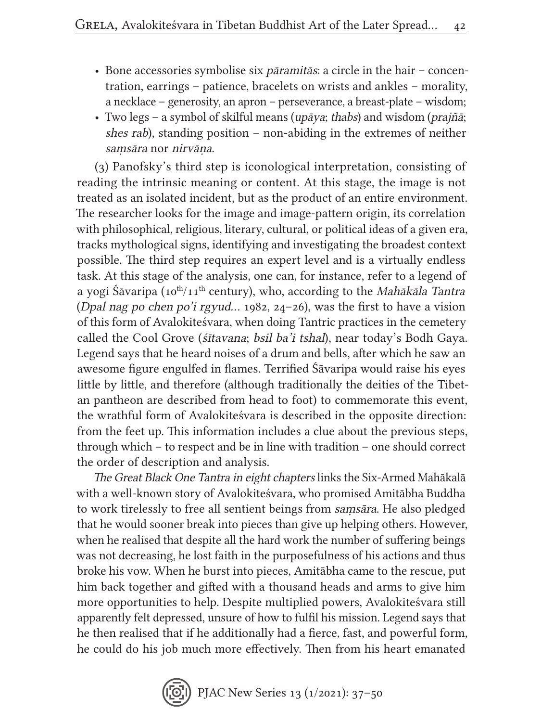- Bone accessories symbolise six pāramitās: a circle in the hair concentration, earrings – patience, bracelets on wrists and ankles – morality, a necklace – generosity, an apron – perseverance, a breast-plate – wisdom;
- Two legs a symbol of skilful means (upāya; thabs) and wisdom (prajñā; shes rab), standing position – non-abiding in the extremes of neither samsāra nor nirvāna.

(3) Panofsky's third step is iconological interpretation, consisting of reading the intrinsic meaning or content. At this stage, the image is not treated as an isolated incident, but as the product of an entire environment. The researcher looks for the image and image-pattern origin, its correlation with philosophical, religious, literary, cultural, or political ideas of a given era, tracks mythological signs, identifying and investigating the broadest context possible. The third step requires an expert level and is a virtually endless task. At this stage of the analysis, one can, for instance, refer to a legend of a yogi Śāvaripa (10<sup>th</sup>/11<sup>th</sup> century), who, according to the *Mahākāla Tantra* (Dpal nag po chen po'i rgyud… 1982, 24–26), was the first to have a vision of this form of Avalokiteśvara, when doing Tantric practices in the cemetery called the Cool Grove (śītavana; bsil ba'i tshal), near today's Bodh Gaya. Legend says that he heard noises of a drum and bells, after which he saw an awesome figure engulfed in flames. Terrified Śāvaripa would raise his eyes little by little, and therefore (although traditionally the deities of the Tibetan pantheon are described from head to foot) to commemorate this event, the wrathful form of Avalokiteśvara is described in the opposite direction: from the feet up. This information includes a clue about the previous steps, through which – to respect and be in line with tradition – one should correct the order of description and analysis.

The Great Black One Tantra in eight chapters links the Six-Armed Mahākalā with a well-known story of Avalokiteśvara, who promised Amitābha Buddha to work tirelessly to free all sentient beings from saṃsāra. He also pledged that he would sooner break into pieces than give up helping others. However, when he realised that despite all the hard work the number of suffering beings was not decreasing, he lost faith in the purposefulness of his actions and thus broke his vow. When he burst into pieces, Amitābha came to the rescue, put him back together and gifted with a thousand heads and arms to give him more opportunities to help. Despite multiplied powers, Avalokiteśvara still apparently felt depressed, unsure of how to fulfil his mission. Legend says that he then realised that if he additionally had a fierce, fast, and powerful form, he could do his job much more effectively. Then from his heart emanated

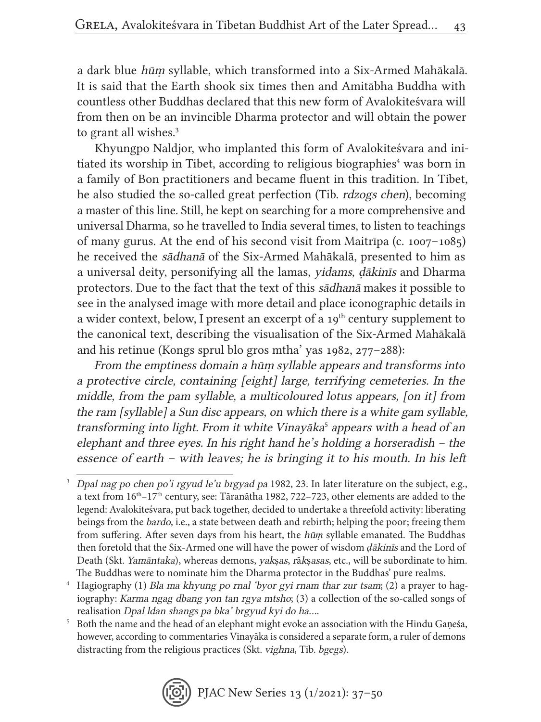a dark blue hūṃ syllable, which transformed into a Six-Armed Mahākalā. It is said that the Earth shook six times then and Amitābha Buddha with countless other Buddhas declared that this new form of Avalokiteśvara will from then on be an invincible Dharma protector and will obtain the power to grant all wishes.<sup>3</sup>

Khyungpo Naldjor, who implanted this form of Avalokiteśvara and initiated its worship in Tibet, according to religious biographies<sup>4</sup> was born in a family of Bon practitioners and became fluent in this tradition. In Tibet, he also studied the so-called great perfection (Tib. rdzogs chen), becoming a master of this line. Still, he kept on searching for a more comprehensive and universal Dharma, so he travelled to India several times, to listen to teachings of many gurus. At the end of his second visit from Maitrīpa (c. 1007–1085) he received the sādhanā of the Six-Armed Mahākalā, presented to him as a universal deity, personifying all the lamas, yidams, ḍākinīs and Dharma protectors. Due to the fact that the text of this sādhanā makes it possible to see in the analysed image with more detail and place iconographic details in a wider context, below, I present an excerpt of a  $19<sup>th</sup>$  century supplement to the canonical text, describing the visualisation of the Six-Armed Mahākalā and his retinue (Kongs sprul blo gros mtha' yas 1982, 277–288):

From the emptiness domain a hūṃ syllable appears and transforms into a protective circle, containing [eight] large, terrifying cemeteries. In the middle, from the pam syllable, a multicoloured lotus appears, [on it] from the ram [syllable] a Sun disc appears, on which there is a white gam syllable, transforming into light. From it white Vinayāka<sup>5</sup> appears with a head of an elephant and three eyes. In his right hand he's holding a horseradish – the essence of earth – with leaves; he is bringing it to his mouth. In his left

<sup>3</sup> Dpal nag po chen po'i rgyud le'u brgyad pa 1982, 23. In later literature on the subject, e.g., a text from  $16<sup>th</sup>-17<sup>th</sup>$  century, see: Tāranātha 1982, 722–723, other elements are added to the legend: Avalokiteśvara, put back together, decided to undertake a threefold activity: liberating beings from the bardo, i.e., a state between death and rebirth; helping the poor; freeing them from suffering. After seven days from his heart, the hū*ṃ* syllable emanated. The Buddhas then foretold that the Six-Armed one will have the power of wisdom *ḍ*ākinīs and the Lord of Death (Skt. Yamāntaka), whereas demons, yakṣas, rākṣasas, etc., will be subordinate to him. The Buddhas were to nominate him the Dharma protector in the Buddhas' pure realms.

<sup>4</sup> Hagiography (1) Bla ma khyung po rnal 'byor gyi rnam thar zur tsam; (2) a prayer to hagiography: Karma ngag dbang yon tan rgya mtsho; (3) a collection of the so-called songs of realisation Dpal ldan shangs pa bka' brgyud kyi do ha….

<sup>&</sup>lt;sup>5</sup> Both the name and the head of an elephant might evoke an association with the Hindu Gaṇeśa, however, according to commentaries Vinayāka is considered a separate form, a ruler of demons distracting from the religious practices (Skt. vighna, Tib. bgegs).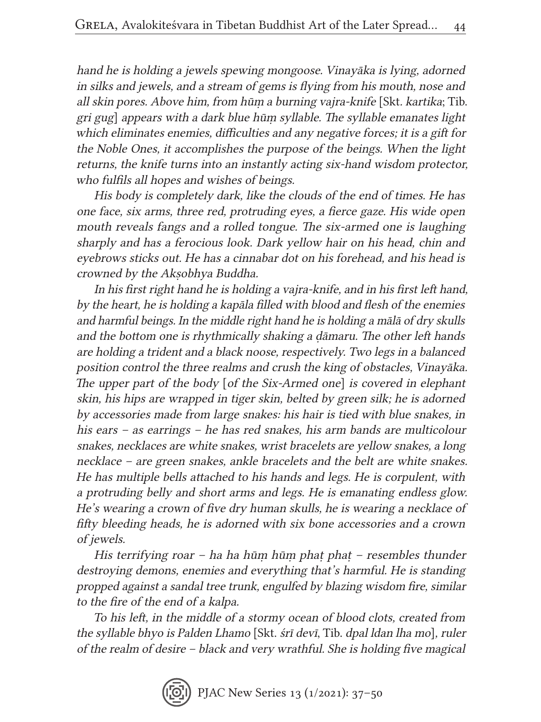hand he is holding a jewels spewing mongoose. Vinayāka is lying, adorned in silks and jewels, and a stream of gems is flying from his mouth, nose and all skin pores. Above him, from hūṃ a burning vajra-knife [Skt. kartika; Tib. gri gug] appears with a dark blue hūṃ syllable. The syllable emanates light which eliminates enemies, difficulties and any negative forces; it is a gift for the Noble Ones, it accomplishes the purpose of the beings. When the light returns, the knife turns into an instantly acting six-hand wisdom protector, who fulfils all hopes and wishes of beings.

His body is completely dark, like the clouds of the end of times. He has one face, six arms, three red, protruding eyes, a fierce gaze. His wide open mouth reveals fangs and a rolled tongue. The six-armed one is laughing sharply and has a ferocious look. Dark yellow hair on his head, chin and eyebrows sticks out. He has a cinnabar dot on his forehead, and his head is crowned by the Akṣobhya Buddha.

In his first right hand he is holding a vajra-knife, and in his first left hand, by the heart, he is holding a kapāla filled with blood and flesh of the enemies and harmful beings. In the middle right hand he is holding a mālā of dry skulls and the bottom one is rhythmically shaking a ḍāmaru. The other left hands are holding a trident and a black noose, respectively. Two legs in a balanced position control the three realms and crush the king of obstacles, Vinayāka. The upper part of the body [of the Six-Armed one] is covered in elephant skin, his hips are wrapped in tiger skin, belted by green silk; he is adorned by accessories made from large snakes: his hair is tied with blue snakes, in his ears – as earrings – he has red snakes, his arm bands are multicolour snakes, necklaces are white snakes, wrist bracelets are yellow snakes, a long necklace – are green snakes, ankle bracelets and the belt are white snakes. He has multiple bells attached to his hands and legs. He is corpulent, with a protruding belly and short arms and legs. He is emanating endless glow. He's wearing a crown of five dry human skulls, he is wearing a necklace of fifty bleeding heads, he is adorned with six bone accessories and a crown of jewels.

His terrifying roar – ha ha hūṃ hūṃ phaṭ phaṭ – resembles thunder destroying demons, enemies and everything that's harmful. He is standing propped against a sandal tree trunk, engulfed by blazing wisdom fire, similar to the fire of the end of a kalpa.

To his left, in the middle of a stormy ocean of blood clots, created from the syllable bhyo is Palden Lhamo [Skt. śrī devī, Tib. dpal ldan lha mo], ruler of the realm of desire – black and very wrathful. She is holding five magical

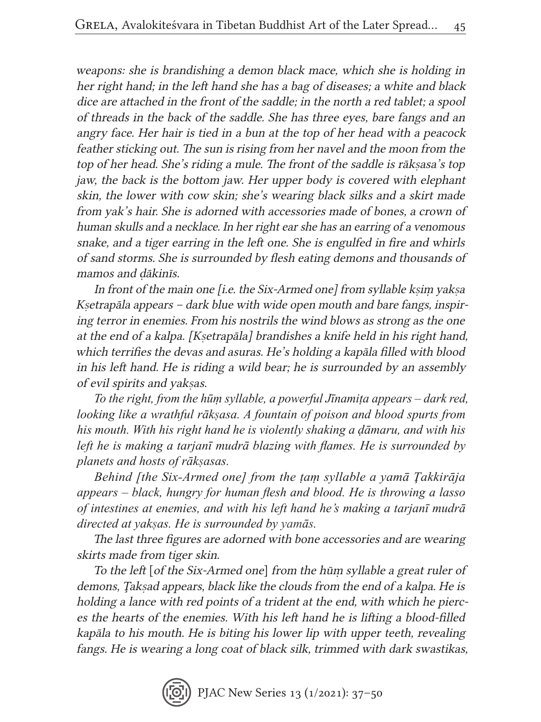weapons: she is brandishing a demon black mace, which she is holding in her right hand; in the left hand she has a bag of diseases; a white and black dice are attached in the front of the saddle; in the north a red tablet; a spool of threads in the back of the saddle. She has three eyes, bare fangs and an angry face. Her hair is tied in a bun at the top of her head with a peacock feather sticking out. The sun is rising from her navel and the moon from the top of her head. She's riding a mule. The front of the saddle is rākṣasa's top jaw, the back is the bottom jaw. Her upper body is covered with elephant skin, the lower with cow skin; she's wearing black silks and a skirt made from yak's hair. She is adorned with accessories made of bones, a crown of human skulls and a necklace. In her right ear she has an earring of a venomous snake, and a tiger earring in the left one. She is engulfed in fire and whirls of sand storms. She is surrounded by flesh eating demons and thousands of mamos and ḍākinīs.

In front of the main one *[i.e. the Six-Armed one]* from *syllable ksim yaksa* Kṣetrapāla appears – dark blue with wide open mouth and bare fangs, inspiring terror in enemies. From his nostrils the wind blows as strong as the one at the end of a kalpa. [Kṣetrapāla] brandishes a knife held in his right hand, which terrifies the devas and asuras. He's holding a kapāla filled with blood in his left hand. He is riding a wild bear; he is surrounded by an assembly of evil spirits and yakṣas.

*To the right, from the hūṃ syllable, a powerful Jīnamiṭa appears – dark red, looking like a wrathful rākṣasa. A fountain of poison and blood spurts from his mouth. With his right hand he is violently shaking a ḍāmaru, and with his left he is making a tarjanī mudrā blazing with flames. He is surrounded by planets and hosts of rākṣasas.*

*Behind [the Six-Armed one] from the ṭaṃ syllable a yamā Ţakkirāja appears – black, hungry for human flesh and blood. He is throwing a lasso of intestines at enemies, and with his left hand he's making a tarjanī mudrā directed at yakṣas. He is surrounded by yamās.*

The last three figures are adorned with bone accessories and are wearing skirts made from tiger skin.

To the left [of the Six-Armed one] from the hūṃ syllable a great ruler of demons, Ţakṣad appears, black like the clouds from the end of a kalpa. He is holding a lance with red points of a trident at the end, with which he pierces the hearts of the enemies. With his left hand he is lifting a blood-filled kapāla to his mouth. He is biting his lower lip with upper teeth, revealing fangs. He is wearing a long coat of black silk, trimmed with dark swastikas,

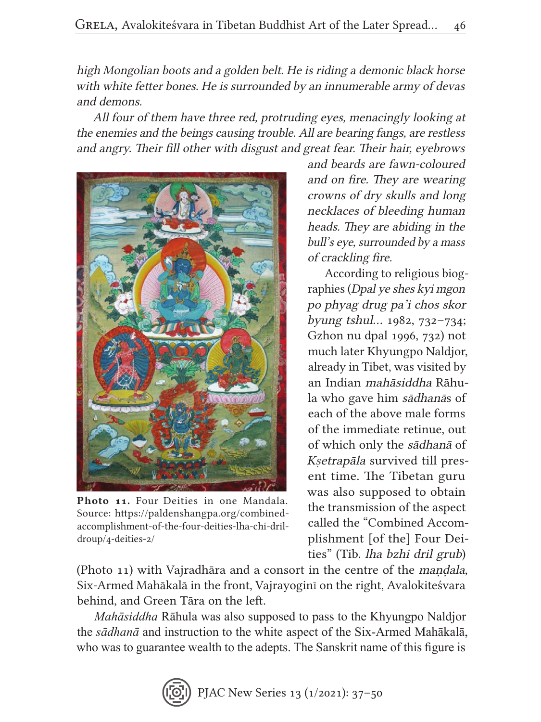high Mongolian boots and a golden belt. He is riding a demonic black horse with white fetter bones. He is surrounded by an innumerable army of devas and demons.

All four of them have three red, protruding eyes, menacingly looking at the enemies and the beings causing trouble. All are bearing fangs, are restless and angry. Their fill other with disgust and great fear. Their hair, eyebrows



Photo 11. Four Deities in one Mandala. Source: https://paldenshangpa.org/combinedaccomplishment-of-the-four-deities-lha-chi-drildroup/4-deities-2/

and beards are fawn-coloured and on fire. They are wearing crowns of dry skulls and long necklaces of bleeding human heads. They are abiding in the bull's eye, surrounded by a mass of crackling fire.

According to religious biographies (Dpal ye shes kyi mgon po phyag drug pa'i chos skor byung tshul… 1982, 732–734; Gzhon nu dpal 1996, 732) not much later Khyungpo Naldjor, already in Tibet, was visited by an Indian mahāsiddha Rāhula who gave him sādhanās of each of the above male forms of the immediate retinue, out of which only the sādhanā of Kṣetrapāla survived till present time. The Tibetan guru was also supposed to obtain the transmission of the aspect called the "Combined Accomplishment [of the] Four Deities" (Tib. lha bzhi dril grub)

(Photo 11) with Vajradhāra and a consort in the centre of the maṇḍala, Six-Armed Mahākalā in the front, Vajrayoginī on the right, Avalokiteśvara behind, and Green Tāra on the left.

*Mahāsiddha* Rāhula was also supposed to pass to the Khyungpo Naldjor the *sādhanā* and instruction to the white aspect of the Six-Armed Mahākalā, who was to guarantee wealth to the adepts. The Sanskrit name of this figure is

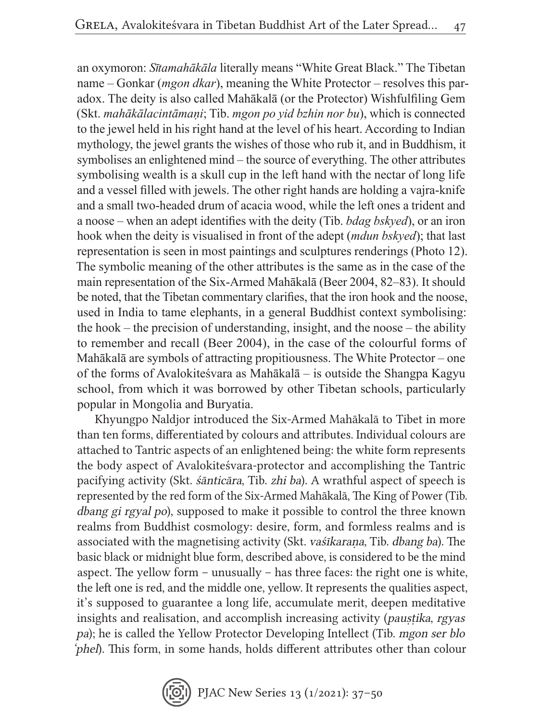an oxymoron: *Sītamahākāla* literally means "White Great Black." The Tibetan name – Gonkar (*mgon dkar*), meaning the White Protector – resolves this paradox. The deity is also called Mahākalā (or the Protector) Wishfulfiling Gem (Skt. *mahākālacintāmaṇi*; Tib. *mgon po yid bzhin nor bu*), which is connected to the jewel held in his right hand at the level of his heart. According to Indian mythology, the jewel grants the wishes of those who rub it, and in Buddhism, it symbolises an enlightened mind – the source of everything. The other attributes symbolising wealth is a skull cup in the left hand with the nectar of long life and a vessel filled with jewels. The other right hands are holding a vajra-knife and a small two-headed drum of acacia wood, while the left ones a trident and a noose – when an adept identifies with the deity (Tib. *bdag bskyed*), or an iron hook when the deity is visualised in front of the adept (*mdun bskyed*); that last representation is seen in most paintings and sculptures renderings (Photo 12). The symbolic meaning of the other attributes is the same as in the case of the main representation of the Six-Armed Mahākalā (Beer 2004, 82–83). It should be noted, that the Tibetan commentary clarifies, that the iron hook and the noose, used in India to tame elephants, in a general Buddhist context symbolising: the hook – the precision of understanding, insight, and the noose – the ability to remember and recall (Beer 2004), in the case of the colourful forms of Mahākalā are symbols of attracting propitiousness. The White Protector – one of the forms of Avalokiteśvara as Mahākalā – is outside the Shangpa Kagyu school, from which it was borrowed by other Tibetan schools, particularly popular in Mongolia and Buryatia.

Khyungpo Naldjor introduced the Six-Armed Mahākalā to Tibet in more than ten forms, differentiated by colours and attributes. Individual colours are attached to Tantric aspects of an enlightened being: the white form represents the body aspect of Avalokiteśvara-protector and accomplishing the Tantric pacifying activity (Skt. śānticāra, Tib. zhi ba). A wrathful aspect of speech is represented by the red form of the Six-Armed Mahākalā, The King of Power (Tib. dbang gi rgyal po), supposed to make it possible to control the three known realms from Buddhist cosmology: desire, form, and formless realms and is associated with the magnetising activity (Skt. vaśīkarana, Tib. dbang ba). The basic black or midnight blue form, described above, is considered to be the mind aspect. The yellow form – unusually – has three faces: the right one is white, the left one is red, and the middle one, yellow. It represents the qualities aspect, it's supposed to guarantee a long life, accumulate merit, deepen meditative insights and realisation, and accomplish increasing activity (paustika, rgyas pa); he is called the Yellow Protector Developing Intellect (Tib. mgon ser blo 'phel). This form, in some hands, holds different attributes other than colour

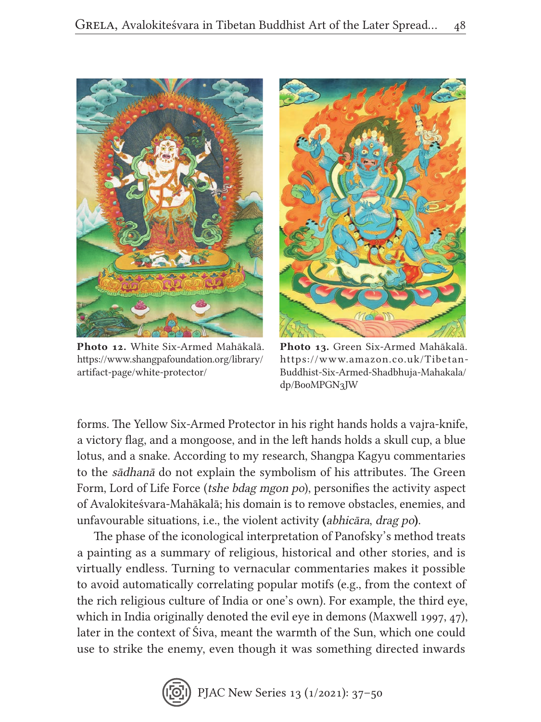

Photo 12. White Six-Armed Mahākalā. https://www.shangpafoundation.org/library/ artifact-page/white-protector/



Photo 13. Green Six-Armed Mahākalā. https://www.amazon.co.uk/Tibetan-Buddhist-Six-Armed-Shadbhuja-Mahakala/ dp/B00MPGN3JW

forms. The Yellow Six-Armed Protector in his right hands holds a vajra-knife, a victory flag, and a mongoose, and in the left hands holds a skull cup, a blue lotus, and a snake. According to my research, Shangpa Kagyu commentaries to the sādhanā do not explain the symbolism of his attributes. The Green Form, Lord of Life Force (tshe bdag mgon po), personifies the activity aspect of Avalokiteśvara-Mahākalā; his domain is to remove obstacles, enemies, and unfavourable situations, i.e., the violent activity (abhicāra, drag po).

The phase of the iconological interpretation of Panofsky's method treats a painting as a summary of religious, historical and other stories, and is virtually endless. Turning to vernacular commentaries makes it possible to avoid automatically correlating popular motifs (e.g., from the context of the rich religious culture of India or one's own). For example, the third eye, which in India originally denoted the evil eye in demons (Maxwell 1997, 47), later in the context of Śiva, meant the warmth of the Sun, which one could use to strike the enemy, even though it was something directed inwards

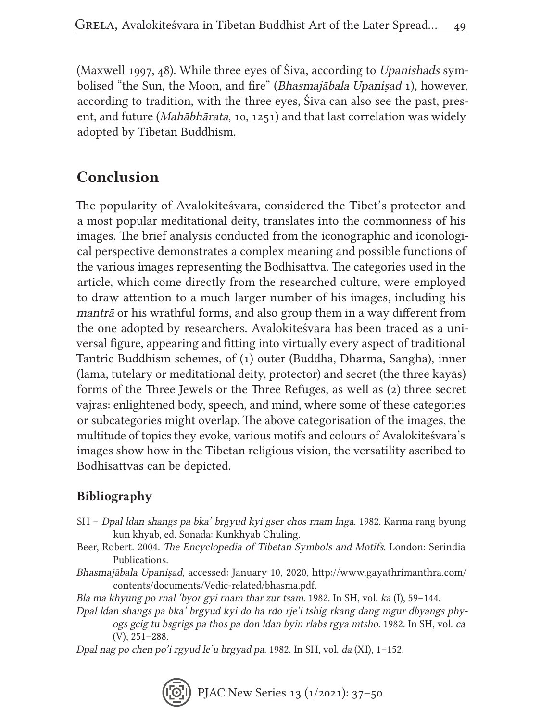(Maxwell 1997, 48). While three eyes of Śiva, according to Upanishads symbolised "the Sun, the Moon, and fire" (Bhasmajābala Upanisad 1), however, according to tradition, with the three eyes, Śiva can also see the past, present, and future (Mahābhārata, 10, 1251) and that last correlation was widely adopted by Tibetan Buddhism.

### Conclusion

The popularity of Avalokiteśvara, considered the Tibet's protector and a most popular meditational deity, translates into the commonness of his images. The brief analysis conducted from the iconographic and iconological perspective demonstrates a complex meaning and possible functions of the various images representing the Bodhisattva. The categories used in the article, which come directly from the researched culture, were employed to draw attention to a much larger number of his images, including his mantrā or his wrathful forms, and also group them in a way different from the one adopted by researchers. Avalokiteśvara has been traced as a universal figure, appearing and fitting into virtually every aspect of traditional Tantric Buddhism schemes, of (1) outer (Buddha, Dharma, Sangha), inner (lama, tutelary or meditational deity, protector) and secret (the three kayās) forms of the Three Jewels or the Three Refuges, as well as (2) three secret vajras: enlightened body, speech, and mind, where some of these categories or subcategories might overlap. The above categorisation of the images, the multitude of topics they evoke, various motifs and colours of Avalokiteśvara's images show how in the Tibetan religious vision, the versatility ascribed to Bodhisattvas can be depicted.

#### Bibliography

- SH Dpal ldan shangs pa bka' brgyud kyi gser chos rnam lnga. 1982. Karma rang byung kun khyab, ed. Sonada: Kunkhyab Chuling.
- Beer, Robert. 2004. The Encyclopedia of Tibetan Symbols and Motifs. London: Serindia Publications.
- Bhasmajābala Upaniṣad, accessed: January 10, 2020, http://www.gayathrimanthra.com/ contents/documents/Vedic-related/bhasma.pdf.

Bla ma khyung po rnal 'byor gyi rnam thar zur tsam. 1982. In SH, vol. ka (I), 59–144.

Dpal ldan shangs pa bka' brgyud kyi do ha rdo rje'i tshig rkang dang mgur dbyangs phyogs gcig tu bsgrigs pa thos pa don ldan byin rlabs rgya mtsho. 1982. In SH, vol. ca (V), 251–288.

Dpal nag po chen po'i rgyud le'u brgyad pa. 1982. In SH, vol. da (XI), 1–152.